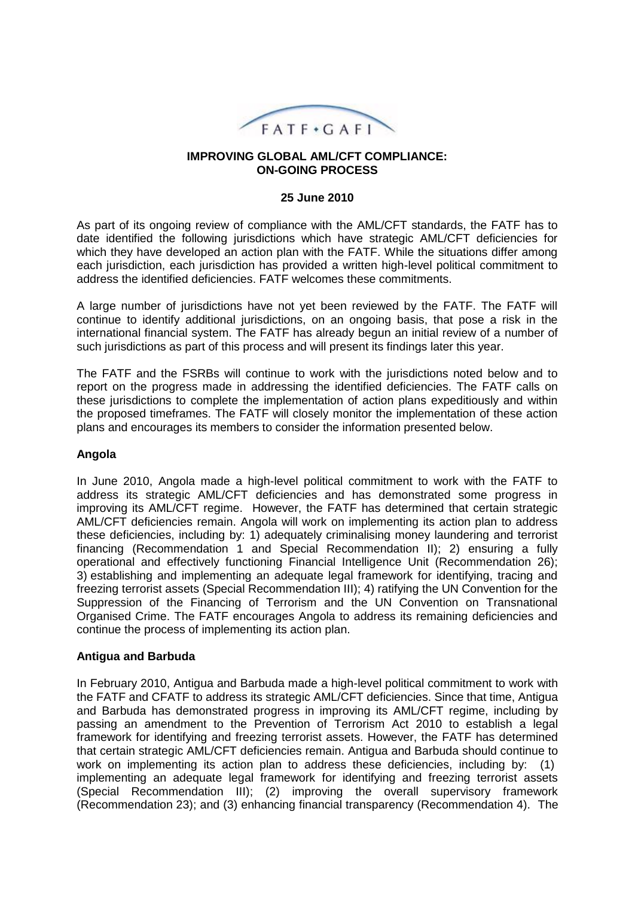

#### **IMPROVING GLOBAL AML/CFT COMPLIANCE: ON-GOING PROCESS**

### **25 June 2010**

As part of its ongoing review of compliance with the AML/CFT standards, the FATF has to date identified the following jurisdictions which have strategic AML/CFT deficiencies for which they have developed an action plan with the FATF. While the situations differ among each jurisdiction, each jurisdiction has provided a written high-level political commitment to address the identified deficiencies. FATF welcomes these commitments.

A large number of jurisdictions have not yet been reviewed by the FATF. The FATF will continue to identify additional jurisdictions, on an ongoing basis, that pose a risk in the international financial system. The FATF has already begun an initial review of a number of such jurisdictions as part of this process and will present its findings later this year.

The FATF and the FSRBs will continue to work with the jurisdictions noted below and to report on the progress made in addressing the identified deficiencies. The FATF calls on these jurisdictions to complete the implementation of action plans expeditiously and within the proposed timeframes. The FATF will closely monitor the implementation of these action plans and encourages its members to consider the information presented below.

### **Angola**

In June 2010, Angola made a high-level political commitment to work with the FATF to address its strategic AML/CFT deficiencies and has demonstrated some progress in improving its AML/CFT regime. However, the FATF has determined that certain strategic AML/CFT deficiencies remain. Angola will work on implementing its action plan to address these deficiencies, including by: 1) adequately criminalising money laundering and terrorist financing (Recommendation 1 and Special Recommendation II); 2) ensuring a fully operational and effectively functioning Financial Intelligence Unit (Recommendation 26); 3) establishing and implementing an adequate legal framework for identifying, tracing and freezing terrorist assets (Special Recommendation III); 4) ratifying the UN Convention for the Suppression of the Financing of Terrorism and the UN Convention on Transnational Organised Crime. The FATF encourages Angola to address its remaining deficiencies and continue the process of implementing its action plan.

### **Antigua and Barbuda**

In February 2010, Antigua and Barbuda made a high-level political commitment to work with the FATF and CFATF to address its strategic AML/CFT deficiencies. Since that time, Antigua and Barbuda has demonstrated progress in improving its AML/CFT regime, including by passing an amendment to the Prevention of Terrorism Act 2010 to establish a legal framework for identifying and freezing terrorist assets. However, the FATF has determined that certain strategic AML/CFT deficiencies remain. Antigua and Barbuda should continue to work on implementing its action plan to address these deficiencies, including by: (1) implementing an adequate legal framework for identifying and freezing terrorist assets (Special Recommendation III); (2) improving the overall supervisory framework (Recommendation 23); and (3) enhancing financial transparency (Recommendation 4). The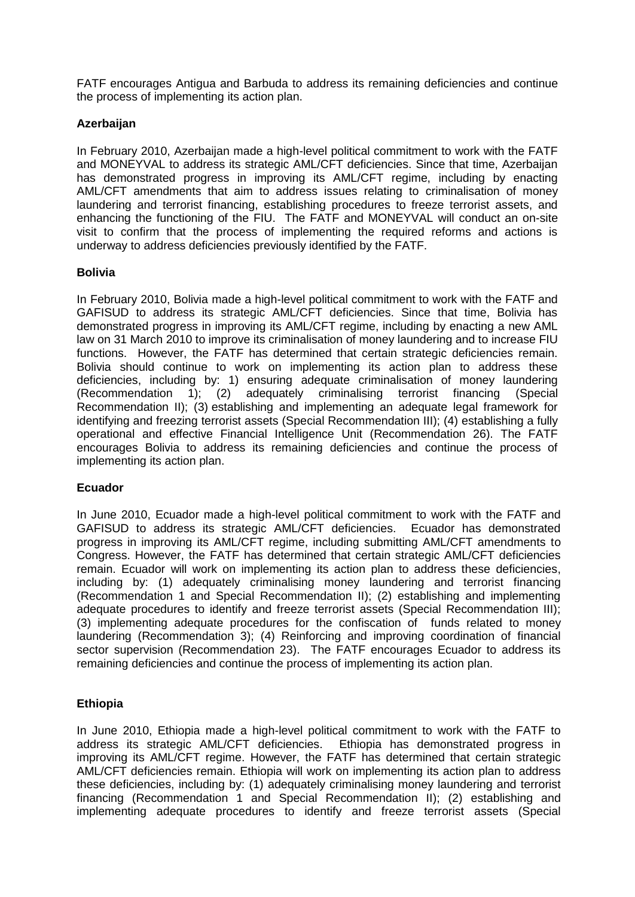FATF encourages Antigua and Barbuda to address its remaining deficiencies and continue the process of implementing its action plan.

### **Azerbaijan**

In February 2010, Azerbaijan made a high-level political commitment to work with the FATF and MONEYVAL to address its strategic AML/CFT deficiencies. Since that time, Azerbaijan has demonstrated progress in improving its AML/CFT regime, including by enacting AML/CFT amendments that aim to address issues relating to criminalisation of money laundering and terrorist financing, establishing procedures to freeze terrorist assets, and enhancing the functioning of the FIU. The FATF and MONEYVAL will conduct an on-site visit to confirm that the process of implementing the required reforms and actions is underway to address deficiencies previously identified by the FATF.

## **Bolivia**

In February 2010, Bolivia made a high-level political commitment to work with the FATF and GAFISUD to address its strategic AML/CFT deficiencies. Since that time, Bolivia has demonstrated progress in improving its AML/CFT regime, including by enacting a new AML law on 31 March 2010 to improve its criminalisation of money laundering and to increase FIU functions. However, the FATF has determined that certain strategic deficiencies remain. Bolivia should continue to work on implementing its action plan to address these deficiencies, including by: 1) ensuring adequate criminalisation of money laundering (Recommendation 1); (2) adequately criminalising terrorist financing (Special Recommendation II); (3) establishing and implementing an adequate legal framework for identifying and freezing terrorist assets (Special Recommendation III); (4) establishing a fully operational and effective Financial Intelligence Unit (Recommendation 26). The FATF encourages Bolivia to address its remaining deficiencies and continue the process of implementing its action plan.

### **Ecuador**

In June 2010, Ecuador made a high-level political commitment to work with the FATF and GAFISUD to address its strategic AML/CFT deficiencies. Ecuador has demonstrated progress in improving its AML/CFT regime, including submitting AML/CFT amendments to Congress. However, the FATF has determined that certain strategic AML/CFT deficiencies remain. Ecuador will work on implementing its action plan to address these deficiencies, including by: (1) adequately criminalising money laundering and terrorist financing (Recommendation 1 and Special Recommendation II); (2) establishing and implementing adequate procedures to identify and freeze terrorist assets (Special Recommendation III); (3) implementing adequate procedures for the confiscation of funds related to money laundering (Recommendation 3); (4) Reinforcing and improving coordination of financial sector supervision (Recommendation 23). The FATF encourages Ecuador to address its remaining deficiencies and continue the process of implementing its action plan.

# **Ethiopia**

In June 2010, Ethiopia made a high-level political commitment to work with the FATF to address its strategic AML/CFT deficiencies. Ethiopia has demonstrated progress in improving its AML/CFT regime. However, the FATF has determined that certain strategic AML/CFT deficiencies remain. Ethiopia will work on implementing its action plan to address these deficiencies, including by: (1) adequately criminalising money laundering and terrorist financing (Recommendation 1 and Special Recommendation II); (2) establishing and implementing adequate procedures to identify and freeze terrorist assets (Special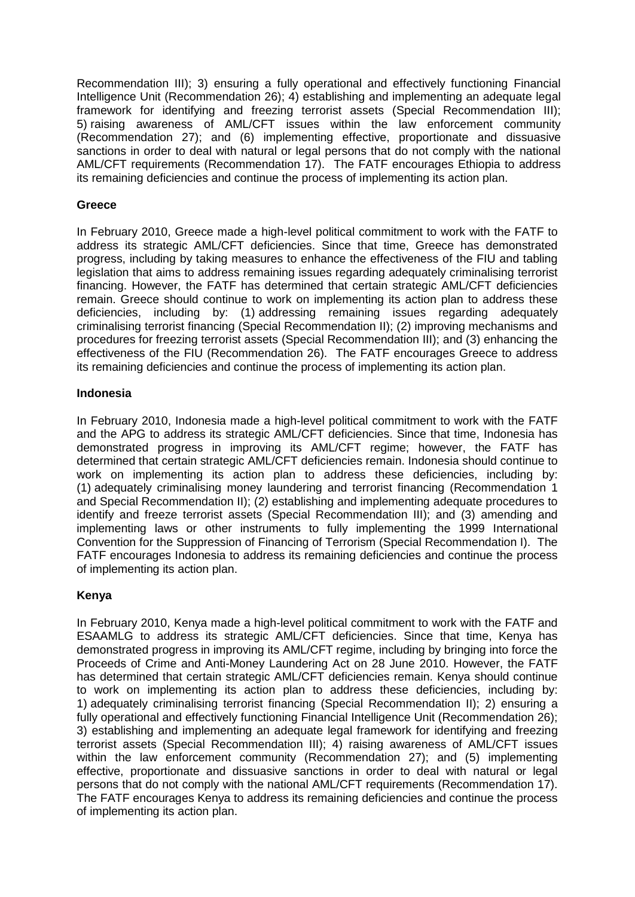Recommendation III); 3) ensuring a fully operational and effectively functioning Financial Intelligence Unit (Recommendation 26); 4) establishing and implementing an adequate legal framework for identifying and freezing terrorist assets (Special Recommendation III); 5) raising awareness of AML/CFT issues within the law enforcement community (Recommendation 27); and (6) implementing effective, proportionate and dissuasive sanctions in order to deal with natural or legal persons that do not comply with the national AML/CFT requirements (Recommendation 17). The FATF encourages Ethiopia to address its remaining deficiencies and continue the process of implementing its action plan.

## **Greece**

In February 2010, Greece made a high-level political commitment to work with the FATF to address its strategic AML/CFT deficiencies. Since that time, Greece has demonstrated progress, including by taking measures to enhance the effectiveness of the FIU and tabling legislation that aims to address remaining issues regarding adequately criminalising terrorist financing. However, the FATF has determined that certain strategic AML/CFT deficiencies remain. Greece should continue to work on implementing its action plan to address these deficiencies, including by: (1) addressing remaining issues regarding adequately criminalising terrorist financing (Special Recommendation II); (2) improving mechanisms and procedures for freezing terrorist assets (Special Recommendation III); and (3) enhancing the effectiveness of the FIU (Recommendation 26). The FATF encourages Greece to address its remaining deficiencies and continue the process of implementing its action plan.

### **Indonesia**

In February 2010, Indonesia made a high-level political commitment to work with the FATF and the APG to address its strategic AML/CFT deficiencies. Since that time, Indonesia has demonstrated progress in improving its AML/CFT regime; however, the FATF has determined that certain strategic AML/CFT deficiencies remain. Indonesia should continue to work on implementing its action plan to address these deficiencies, including by: (1) adequately criminalising money laundering and terrorist financing (Recommendation 1 and Special Recommendation II); (2) establishing and implementing adequate procedures to identify and freeze terrorist assets (Special Recommendation III); and (3) amending and implementing laws or other instruments to fully implementing the 1999 International Convention for the Suppression of Financing of Terrorism (Special Recommendation I). The FATF encourages Indonesia to address its remaining deficiencies and continue the process of implementing its action plan.

# **Kenya**

In February 2010, Kenya made a high-level political commitment to work with the FATF and ESAAMLG to address its strategic AML/CFT deficiencies. Since that time, Kenya has demonstrated progress in improving its AML/CFT regime, including by bringing into force the Proceeds of Crime and Anti-Money Laundering Act on 28 June 2010. However, the FATF has determined that certain strategic AML/CFT deficiencies remain. Kenya should continue to work on implementing its action plan to address these deficiencies, including by: 1) adequately criminalising terrorist financing (Special Recommendation II); 2) ensuring a fully operational and effectively functioning Financial Intelligence Unit (Recommendation 26); 3) establishing and implementing an adequate legal framework for identifying and freezing terrorist assets (Special Recommendation III); 4) raising awareness of AML/CFT issues within the law enforcement community (Recommendation 27); and (5) implementing effective, proportionate and dissuasive sanctions in order to deal with natural or legal persons that do not comply with the national AML/CFT requirements (Recommendation 17). The FATF encourages Kenya to address its remaining deficiencies and continue the process of implementing its action plan.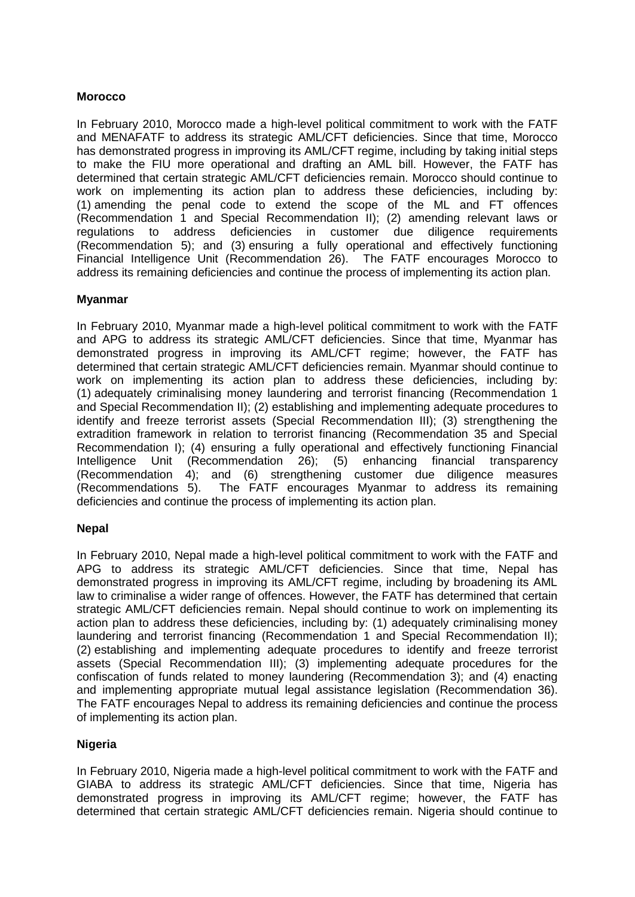### **Morocco**

In February 2010, Morocco made a high-level political commitment to work with the FATF and MENAFATF to address its strategic AML/CFT deficiencies. Since that time, Morocco has demonstrated progress in improving its AML/CFT regime, including by taking initial steps to make the FIU more operational and drafting an AML bill. However, the FATF has determined that certain strategic AML/CFT deficiencies remain. Morocco should continue to work on implementing its action plan to address these deficiencies, including by: (1) amending the penal code to extend the scope of the ML and FT offences (Recommendation 1 and Special Recommendation II); (2) amending relevant laws or regulations to address deficiencies in customer due diligence requirements (Recommendation 5); and (3) ensuring a fully operational and effectively functioning Financial Intelligence Unit (Recommendation 26). The FATF encourages Morocco to address its remaining deficiencies and continue the process of implementing its action plan.

## **Myanmar**

In February 2010, Myanmar made a high-level political commitment to work with the FATF and APG to address its strategic AML/CFT deficiencies. Since that time, Myanmar has demonstrated progress in improving its AML/CFT regime; however, the FATF has determined that certain strategic AML/CFT deficiencies remain. Myanmar should continue to work on implementing its action plan to address these deficiencies, including by: (1) adequately criminalising money laundering and terrorist financing (Recommendation 1 and Special Recommendation II); (2) establishing and implementing adequate procedures to identify and freeze terrorist assets (Special Recommendation III); (3) strengthening the extradition framework in relation to terrorist financing (Recommendation 35 and Special Recommendation I); (4) ensuring a fully operational and effectively functioning Financial Intelligence Unit (Recommendation 26); (5) enhancing financial transparency (Recommendation 4); and (6) strengthening customer due diligence measures (Recommendations 5). The FATF encourages Myanmar to address its remaining deficiencies and continue the process of implementing its action plan.

### **Nepal**

In February 2010, Nepal made a high-level political commitment to work with the FATF and APG to address its strategic AML/CFT deficiencies. Since that time, Nepal has demonstrated progress in improving its AML/CFT regime, including by broadening its AML law to criminalise a wider range of offences. However, the FATF has determined that certain strategic AML/CFT deficiencies remain. Nepal should continue to work on implementing its action plan to address these deficiencies, including by: (1) adequately criminalising money laundering and terrorist financing (Recommendation 1 and Special Recommendation II); (2) establishing and implementing adequate procedures to identify and freeze terrorist assets (Special Recommendation III); (3) implementing adequate procedures for the confiscation of funds related to money laundering (Recommendation 3); and (4) enacting and implementing appropriate mutual legal assistance legislation (Recommendation 36). The FATF encourages Nepal to address its remaining deficiencies and continue the process of implementing its action plan.

# **Nigeria**

In February 2010, Nigeria made a high-level political commitment to work with the FATF and GIABA to address its strategic AML/CFT deficiencies. Since that time, Nigeria has demonstrated progress in improving its AML/CFT regime; however, the FATF has determined that certain strategic AML/CFT deficiencies remain. Nigeria should continue to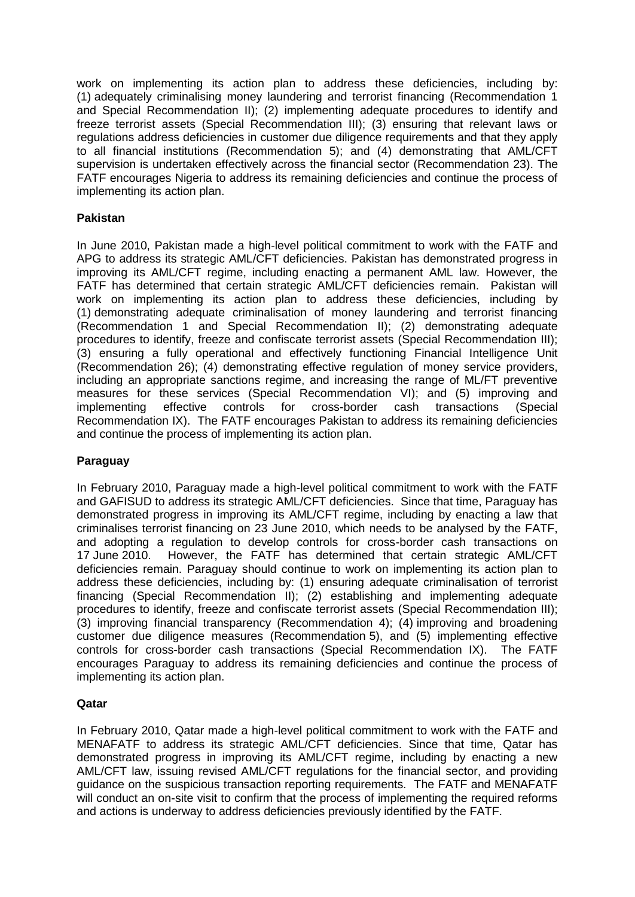work on implementing its action plan to address these deficiencies, including by: (1) adequately criminalising money laundering and terrorist financing (Recommendation 1 and Special Recommendation II); (2) implementing adequate procedures to identify and freeze terrorist assets (Special Recommendation III); (3) ensuring that relevant laws or regulations address deficiencies in customer due diligence requirements and that they apply to all financial institutions (Recommendation 5); and (4) demonstrating that AML/CFT supervision is undertaken effectively across the financial sector (Recommendation 23). The FATF encourages Nigeria to address its remaining deficiencies and continue the process of implementing its action plan.

## **Pakistan**

In June 2010, Pakistan made a high-level political commitment to work with the FATF and APG to address its strategic AML/CFT deficiencies. Pakistan has demonstrated progress in improving its AML/CFT regime, including enacting a permanent AML law. However, the FATF has determined that certain strategic AML/CFT deficiencies remain. Pakistan will work on implementing its action plan to address these deficiencies, including by (1) demonstrating adequate criminalisation of money laundering and terrorist financing (Recommendation 1 and Special Recommendation II); (2) demonstrating adequate procedures to identify, freeze and confiscate terrorist assets (Special Recommendation III); (3) ensuring a fully operational and effectively functioning Financial Intelligence Unit (Recommendation 26); (4) demonstrating effective regulation of money service providers, including an appropriate sanctions regime, and increasing the range of ML/FT preventive measures for these services (Special Recommendation VI); and (5) improving and implementing effective controls for cross-border cash transactions (Special Recommendation IX). The FATF encourages Pakistan to address its remaining deficiencies and continue the process of implementing its action plan.

# **Paraguay**

In February 2010, Paraguay made a high-level political commitment to work with the FATF and GAFISUD to address its strategic AML/CFT deficiencies. Since that time, Paraguay has demonstrated progress in improving its AML/CFT regime, including by enacting a law that criminalises terrorist financing on 23 June 2010, which needs to be analysed by the FATF, and adopting a regulation to develop controls for cross-border cash transactions on 17 June 2010. However, the FATF has determined that certain strategic AML/CFT deficiencies remain. Paraguay should continue to work on implementing its action plan to address these deficiencies, including by: (1) ensuring adequate criminalisation of terrorist financing (Special Recommendation II); (2) establishing and implementing adequate procedures to identify, freeze and confiscate terrorist assets (Special Recommendation III); (3) improving financial transparency (Recommendation 4); (4) improving and broadening customer due diligence measures (Recommendation 5), and (5) implementing effective controls for cross-border cash transactions (Special Recommendation IX). The FATF encourages Paraguay to address its remaining deficiencies and continue the process of implementing its action plan.

### **Qatar**

In February 2010, Qatar made a high-level political commitment to work with the FATF and MENAFATF to address its strategic AML/CFT deficiencies. Since that time, Qatar has demonstrated progress in improving its AML/CFT regime, including by enacting a new AML/CFT law, issuing revised AML/CFT regulations for the financial sector, and providing guidance on the suspicious transaction reporting requirements. The FATF and MENAFATF will conduct an on-site visit to confirm that the process of implementing the required reforms and actions is underway to address deficiencies previously identified by the FATF.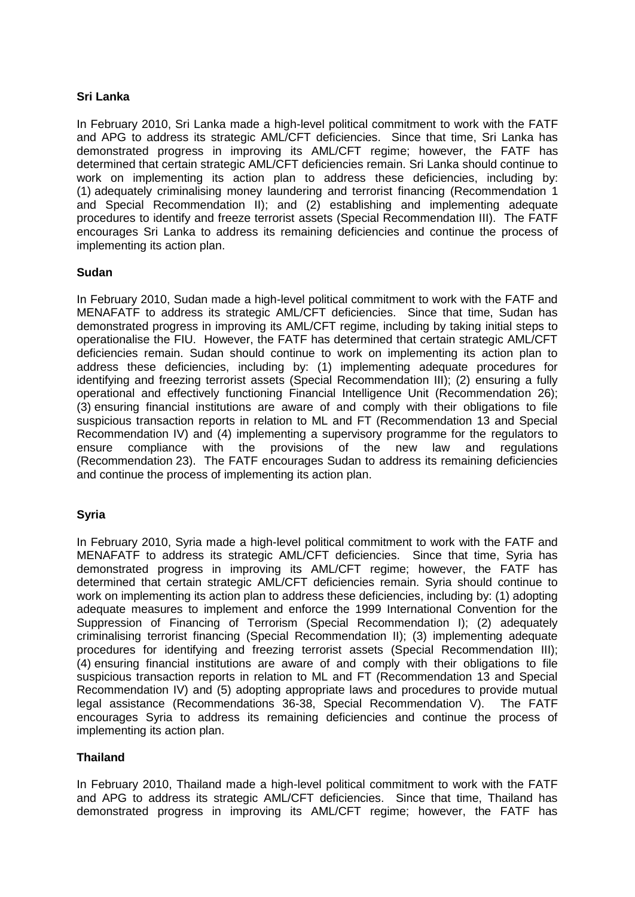#### **Sri Lanka**

In February 2010, Sri Lanka made a high-level political commitment to work with the FATF and APG to address its strategic AML/CFT deficiencies. Since that time, Sri Lanka has demonstrated progress in improving its AML/CFT regime; however, the FATF has determined that certain strategic AML/CFT deficiencies remain. Sri Lanka should continue to work on implementing its action plan to address these deficiencies, including by: (1) adequately criminalising money laundering and terrorist financing (Recommendation 1 and Special Recommendation II); and (2) establishing and implementing adequate procedures to identify and freeze terrorist assets (Special Recommendation III). The FATF encourages Sri Lanka to address its remaining deficiencies and continue the process of implementing its action plan.

### **Sudan**

In February 2010, Sudan made a high-level political commitment to work with the FATF and MENAFATF to address its strategic AML/CFT deficiencies. Since that time, Sudan has demonstrated progress in improving its AML/CFT regime, including by taking initial steps to operationalise the FIU. However, the FATF has determined that certain strategic AML/CFT deficiencies remain. Sudan should continue to work on implementing its action plan to address these deficiencies, including by: (1) implementing adequate procedures for identifying and freezing terrorist assets (Special Recommendation III); (2) ensuring a fully operational and effectively functioning Financial Intelligence Unit (Recommendation 26); (3) ensuring financial institutions are aware of and comply with their obligations to file suspicious transaction reports in relation to ML and FT (Recommendation 13 and Special Recommendation IV) and (4) implementing a supervisory programme for the regulators to ensure compliance with the provisions of the new law and regulations (Recommendation 23). The FATF encourages Sudan to address its remaining deficiencies and continue the process of implementing its action plan.

### **Syria**

In February 2010, Syria made a high-level political commitment to work with the FATF and MENAFATF to address its strategic AML/CFT deficiencies. Since that time, Syria has demonstrated progress in improving its AML/CFT regime; however, the FATF has determined that certain strategic AML/CFT deficiencies remain. Syria should continue to work on implementing its action plan to address these deficiencies, including by: (1) adopting adequate measures to implement and enforce the 1999 International Convention for the Suppression of Financing of Terrorism (Special Recommendation I); (2) adequately criminalising terrorist financing (Special Recommendation II); (3) implementing adequate procedures for identifying and freezing terrorist assets (Special Recommendation III); (4) ensuring financial institutions are aware of and comply with their obligations to file suspicious transaction reports in relation to ML and FT (Recommendation 13 and Special Recommendation IV) and (5) adopting appropriate laws and procedures to provide mutual legal assistance (Recommendations 36-38, Special Recommendation V). The FATF encourages Syria to address its remaining deficiencies and continue the process of implementing its action plan.

### **Thailand**

In February 2010, Thailand made a high-level political commitment to work with the FATF and APG to address its strategic AML/CFT deficiencies. Since that time, Thailand has demonstrated progress in improving its AML/CFT regime; however, the FATF has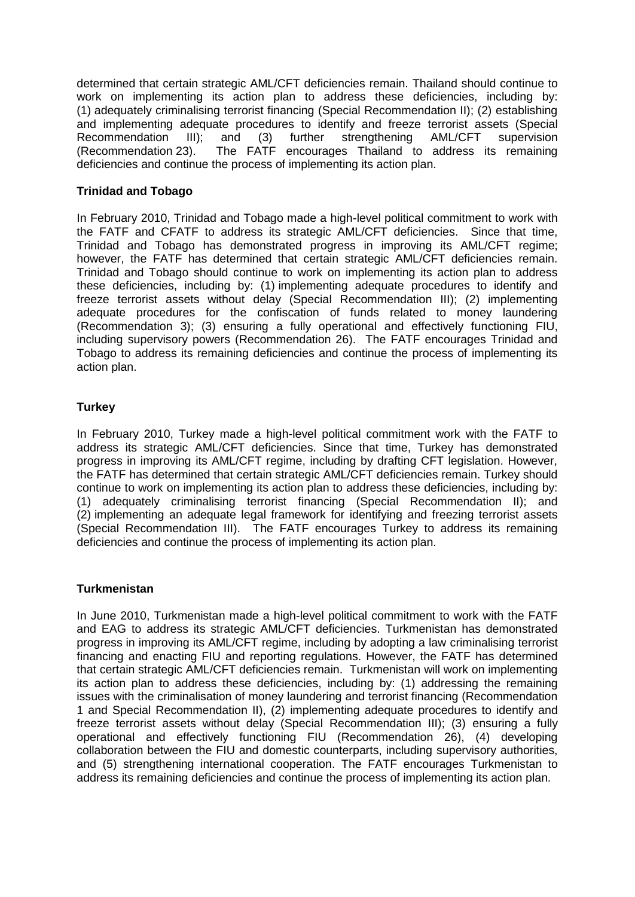determined that certain strategic AML/CFT deficiencies remain. Thailand should continue to work on implementing its action plan to address these deficiencies, including by: (1) adequately criminalising terrorist financing (Special Recommendation II); (2) establishing and implementing adequate procedures to identify and freeze terrorist assets (Special Recommendation III); and (3) further strengthening AML/CFT supervision (Recommendation 23). The FATF encourages Thailand to address its remaining deficiencies and continue the process of implementing its action plan.

### **Trinidad and Tobago**

In February 2010, Trinidad and Tobago made a high-level political commitment to work with the FATF and CFATF to address its strategic AML/CFT deficiencies. Since that time, Trinidad and Tobago has demonstrated progress in improving its AML/CFT regime; however, the FATF has determined that certain strategic AML/CFT deficiencies remain. Trinidad and Tobago should continue to work on implementing its action plan to address these deficiencies, including by: (1) implementing adequate procedures to identify and freeze terrorist assets without delay (Special Recommendation III); (2) implementing adequate procedures for the confiscation of funds related to money laundering (Recommendation 3); (3) ensuring a fully operational and effectively functioning FIU, including supervisory powers (Recommendation 26). The FATF encourages Trinidad and Tobago to address its remaining deficiencies and continue the process of implementing its action plan.

## **Turkey**

In February 2010, Turkey made a high-level political commitment work with the FATF to address its strategic AML/CFT deficiencies. Since that time, Turkey has demonstrated progress in improving its AML/CFT regime, including by drafting CFT legislation. However, the FATF has determined that certain strategic AML/CFT deficiencies remain. Turkey should continue to work on implementing its action plan to address these deficiencies, including by: (1) adequately criminalising terrorist financing (Special Recommendation II); and (2) implementing an adequate legal framework for identifying and freezing terrorist assets (Special Recommendation III). The FATF encourages Turkey to address its remaining deficiencies and continue the process of implementing its action plan.

### **Turkmenistan**

In June 2010, Turkmenistan made a high-level political commitment to work with the FATF and EAG to address its strategic AML/CFT deficiencies. Turkmenistan has demonstrated progress in improving its AML/CFT regime, including by adopting a law criminalising terrorist financing and enacting FIU and reporting regulations. However, the FATF has determined that certain strategic AML/CFT deficiencies remain. Turkmenistan will work on implementing its action plan to address these deficiencies, including by: (1) addressing the remaining issues with the criminalisation of money laundering and terrorist financing (Recommendation 1 and Special Recommendation II), (2) implementing adequate procedures to identify and freeze terrorist assets without delay (Special Recommendation III); (3) ensuring a fully operational and effectively functioning FIU (Recommendation 26), (4) developing collaboration between the FIU and domestic counterparts, including supervisory authorities, and (5) strengthening international cooperation. The FATF encourages Turkmenistan to address its remaining deficiencies and continue the process of implementing its action plan.